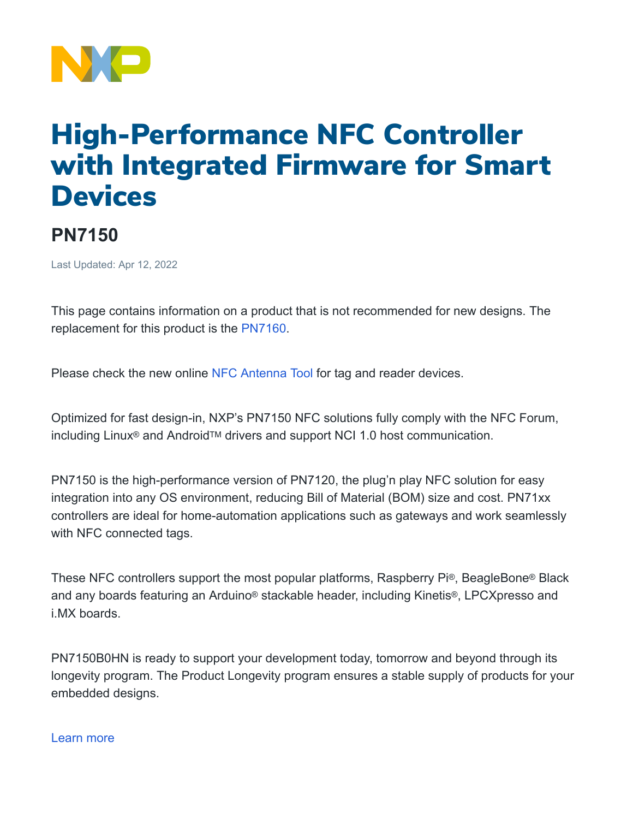

## High-Performance NFC Controller with Integrated Firmware for Smart **Devices**

## **PN7150**

Last Updated: Apr 12, 2022

This page contains information on a product that is not recommended for new designs. The replacement for this product is the [PN7160.](https://www.nxp.com/products/rfid-nfc/nfc-hf/nfc-readers/nfc-plug-and-play-controller-with-integrated-firmware-and-nci-interface:PN7160)

Please check the new online NFC [Antenna](https://community.nxp.com/t5/NFC/bd-p/nfc) Tool for tag and reader devices.

Optimized for fast design-in, NXP's PN7150 NFC solutions fully comply with the NFC Forum, including Linux<sup>®</sup> and Android™ drivers and support NCI 1.0 host communication.

PN7150 is the high-performance version of PN7120, the plug'n play NFC solution for easy integration into any OS environment, reducing Bill of Material (BOM) size and cost. PN71xx controllers are ideal for home-automation applications such as gateways and work seamlessly with NFC connected tags.

These NFC controllers support the most popular platforms, Raspberry Pi®, BeagleBone® Black and any boards featuring an Arduino® stackable header, including Kinetis®, LPCXpresso and i.MX boards.

PN7150B0HN is ready to support your development today, tomorrow and beyond through its longevity program. The Product Longevity program ensures a stable supply of products for your embedded designs.

## [Learn more](https://www.nxp.com/products/product-information/product-programs/product-longevity:PRDCT_LONGEVITY_HM)